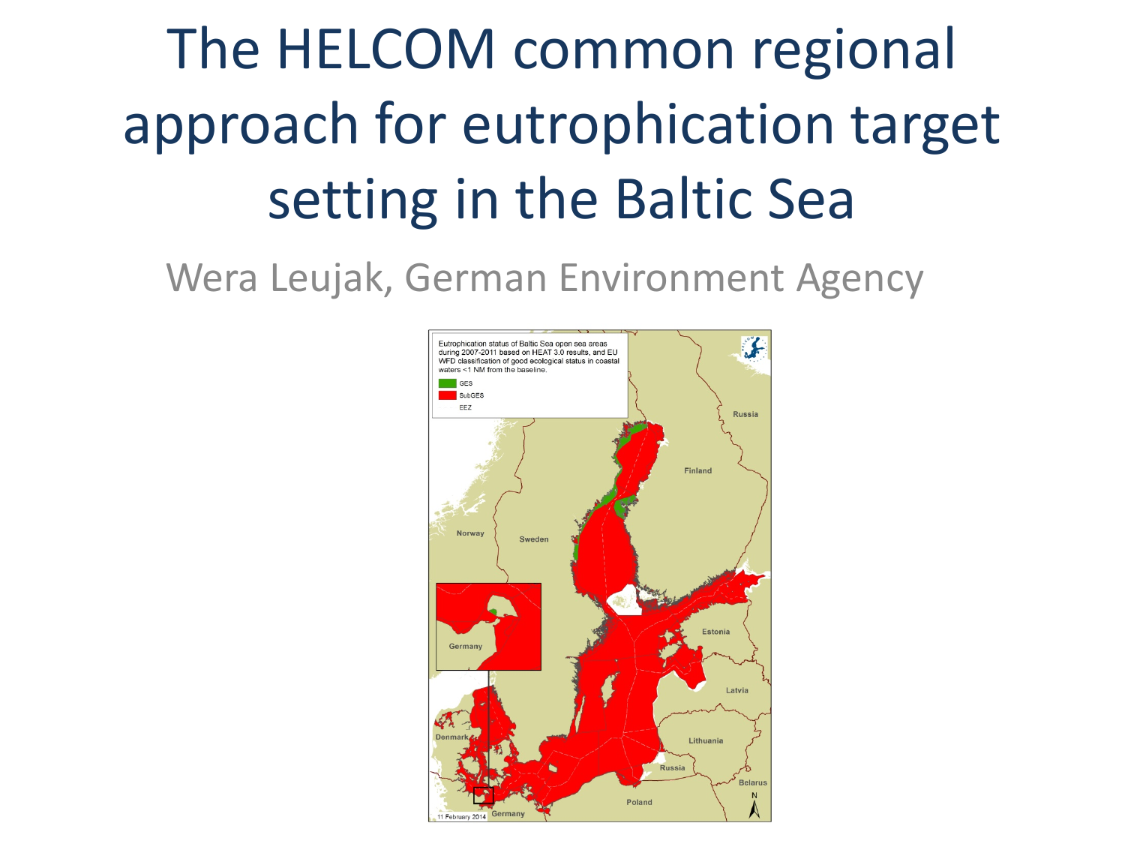# The HELCOM common regional approach for eutrophication target setting in the Baltic Sea

Wera Leujak, German Environment Agency

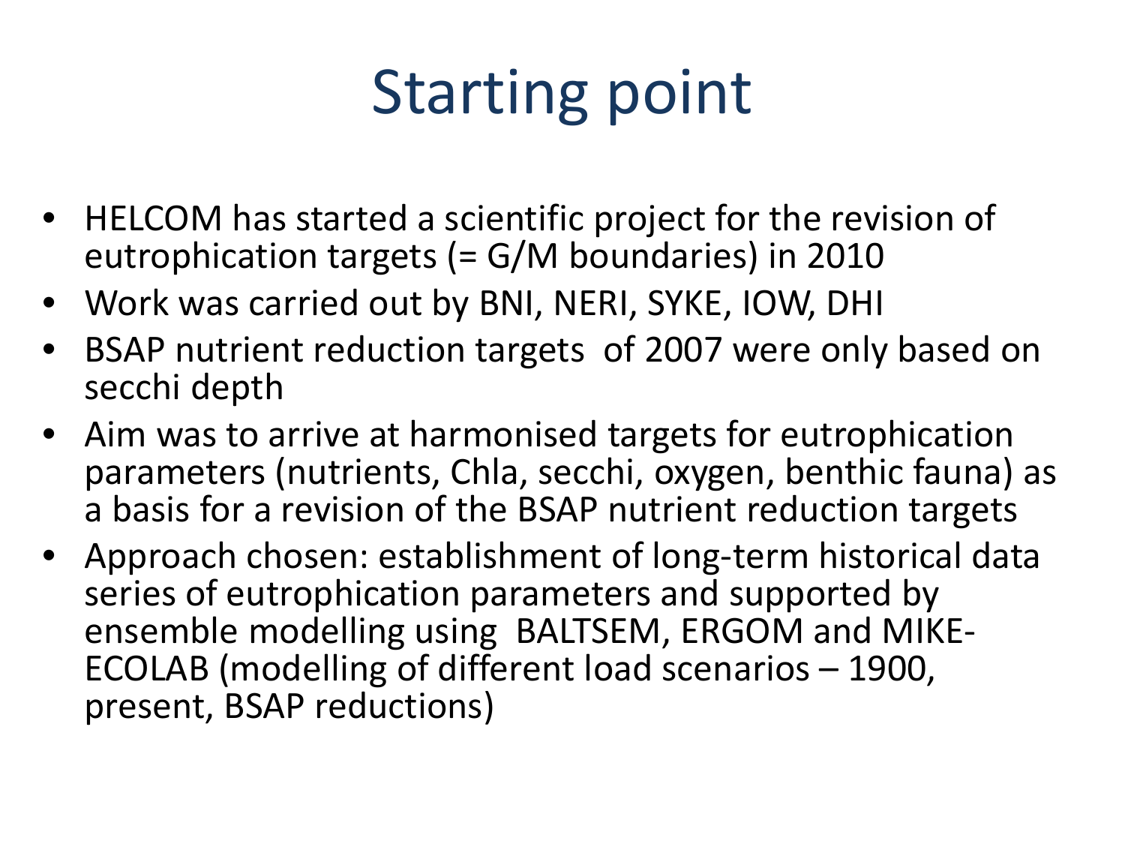# Starting point

- HELCOM has started a scientific project for the revision of eutrophication targets (= G/M boundaries) in 2010
- Work was carried out by BNI, NERI, SYKE, IOW, DHI
- BSAP nutrient reduction targets of 2007 were only based on secchi depth
- Aim was to arrive at harmonised targets for eutrophication parameters (nutrients, Chla, secchi, oxygen, benthic fauna) as a basis for a revision of the BSAP nutrient reduction targets
- Approach chosen: establishment of long-term historical data series of eutrophication parameters and supported by ensemble modelling using BALTSEM, ERGOM and MIKE- ECOLAB (modelling of different load scenarios – 1900, present, BSAP reductions)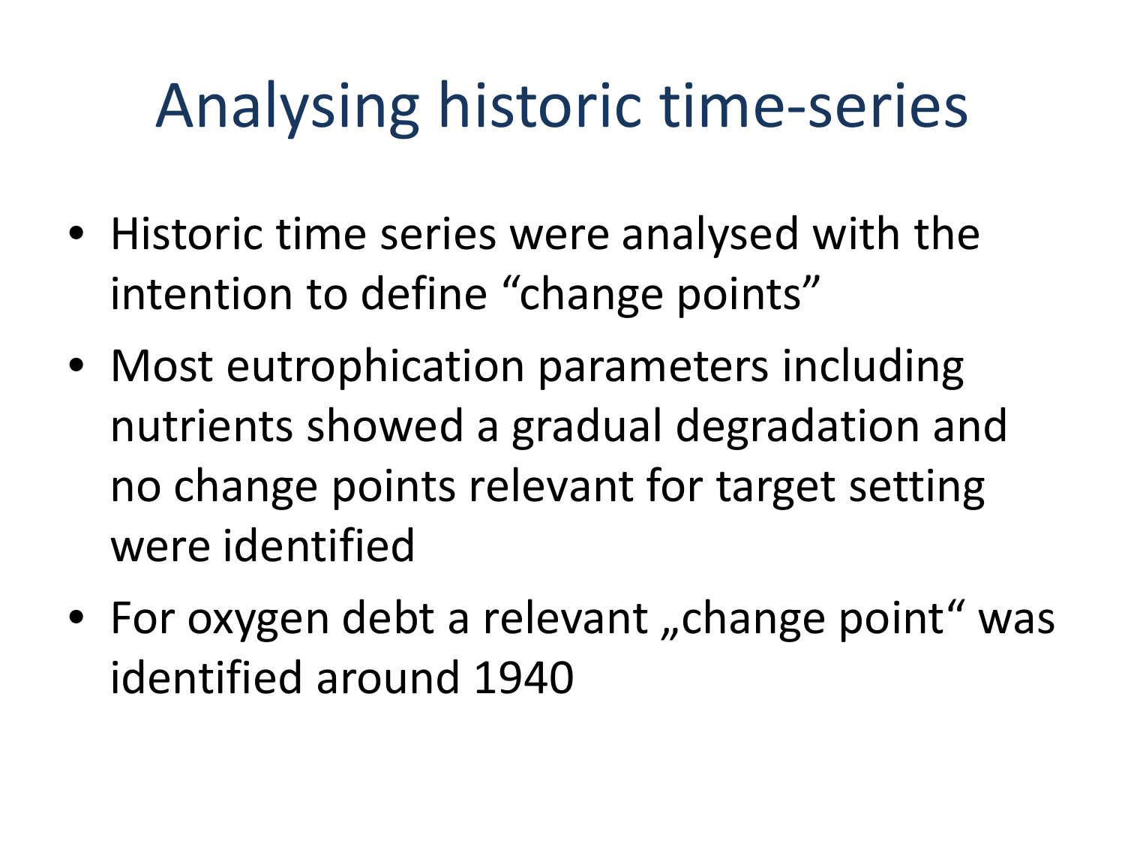# Analysing historic time-series

- Historic time series were analysed with the intention to define "change points"
- Most eutrophication parameters including nutrients showed a gradual degradation and no change points relevant for target setting were identified
- For oxygen debt a relevant "change point" was identified around 1940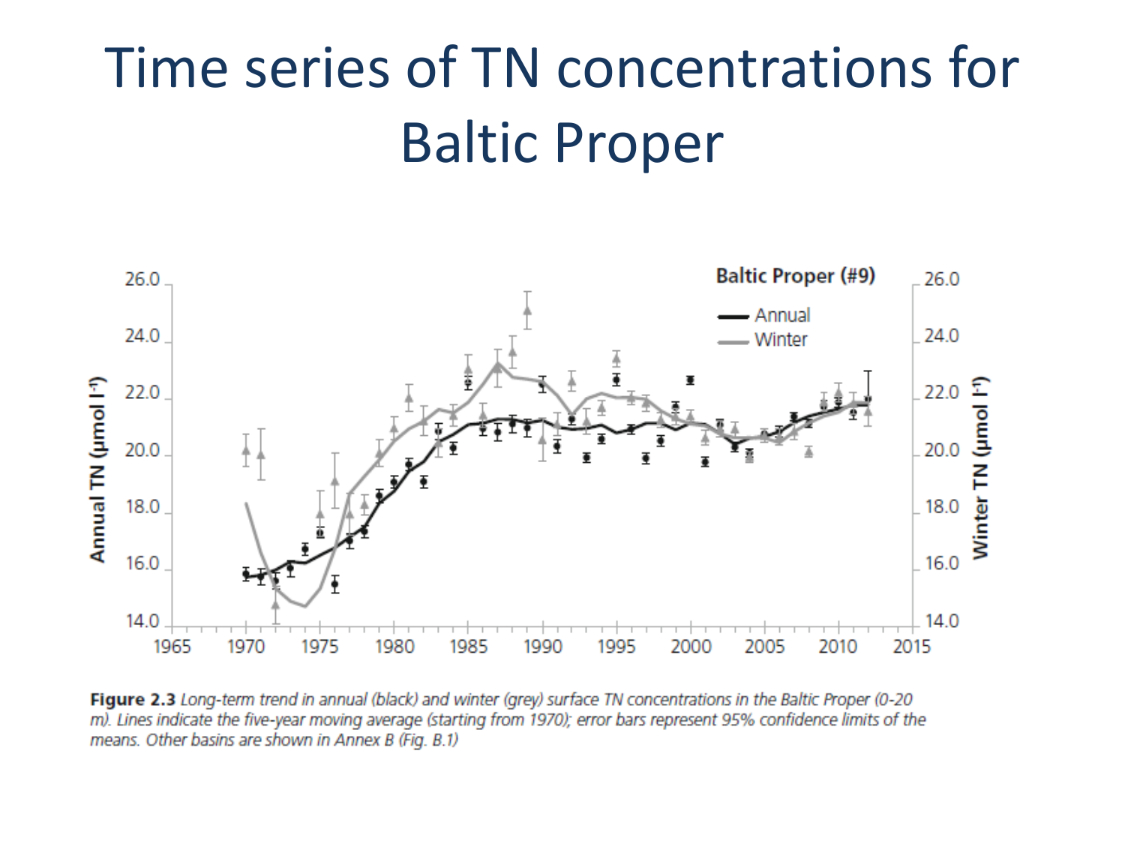#### Time series of TN concentrations for Baltic Proper



Figure 2.3 Long-term trend in annual (black) and winter (grey) surface TN concentrations in the Baltic Proper (0-20 m). Lines indicate the five-year moving average (starting from 1970); error bars represent 95% confidence limits of the means. Other basins are shown in Annex B (Fig. B.1)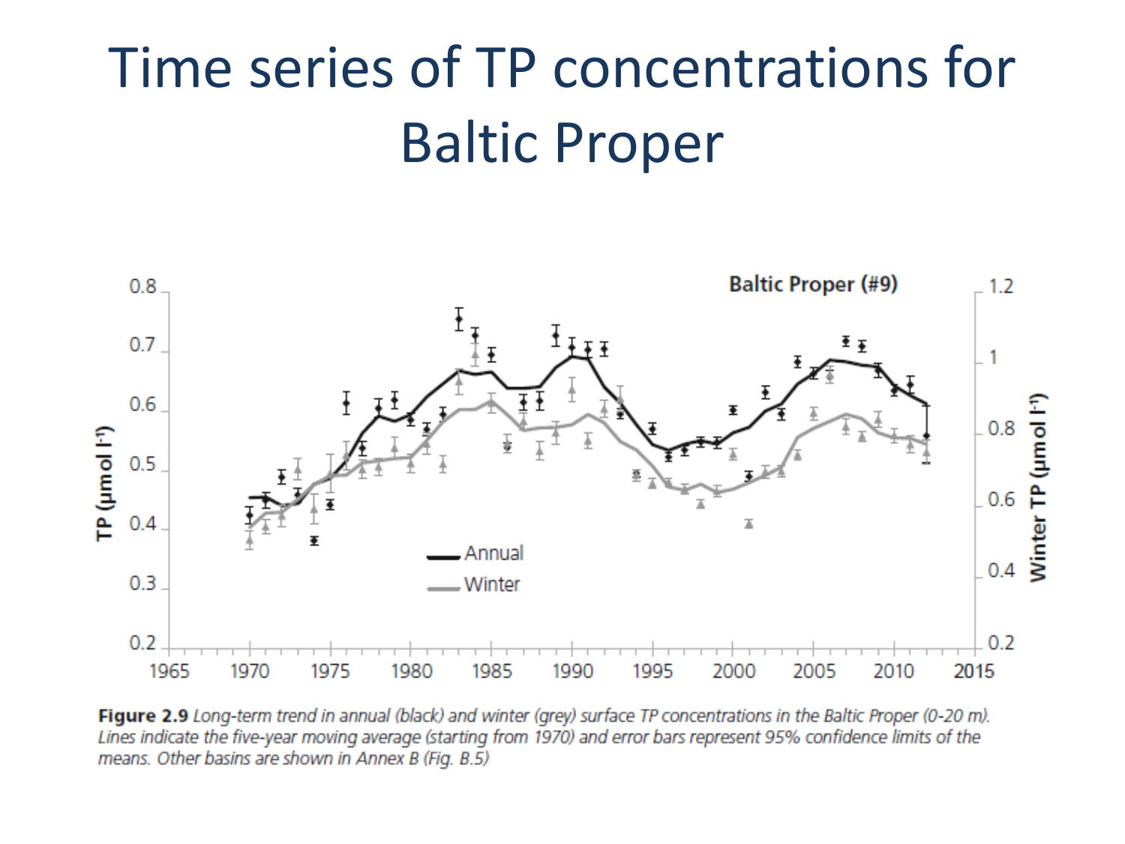#### Time series of TP concentrations for Baltic Proper



Figure 2.9 Long-term trend in annual (black) and winter (grey) surface TP concentrations in the Baltic Proper (0-20 m). Lines indicate the five-year moving average (starting from 1970) and error bars represent 95% confidence limits of the means. Other basins are shown in Annex B (Fig. B.5)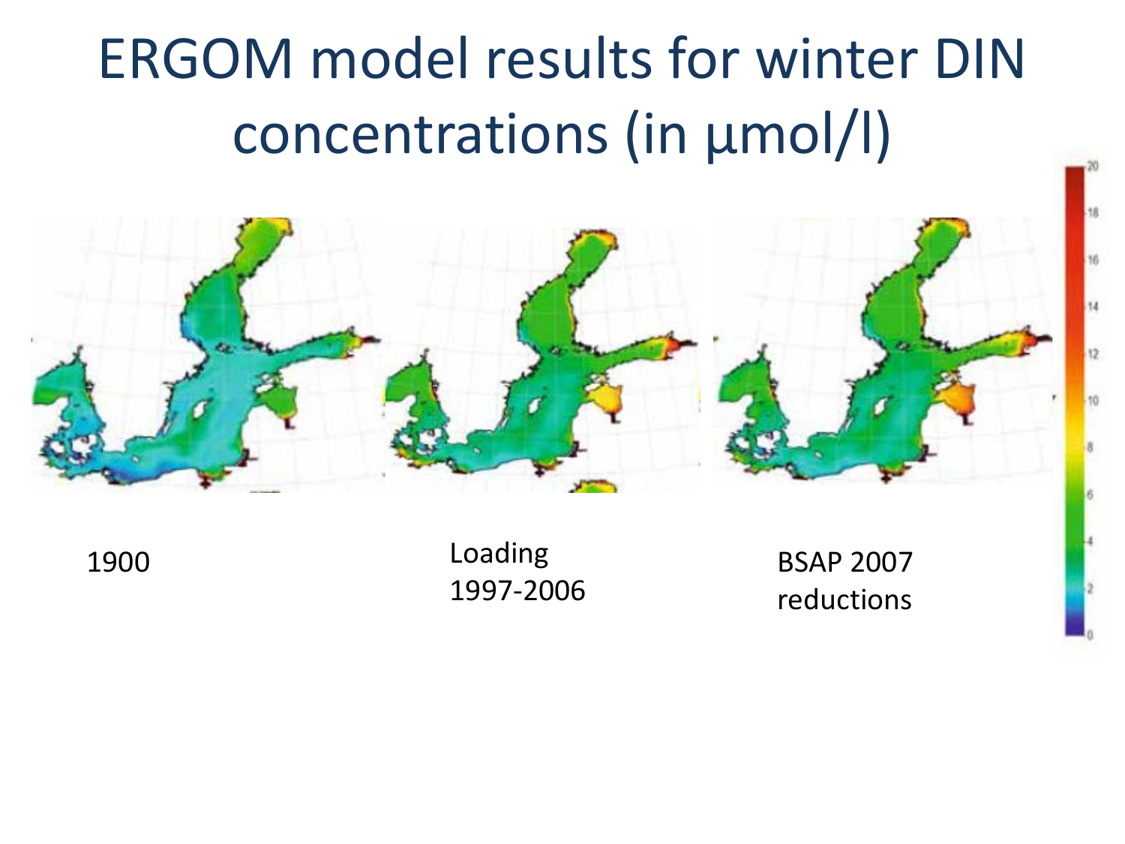### ERGOM model results for winter DIN concentrations (in µmol/l)



Loading 1997-2006

BSAP 2007 reductions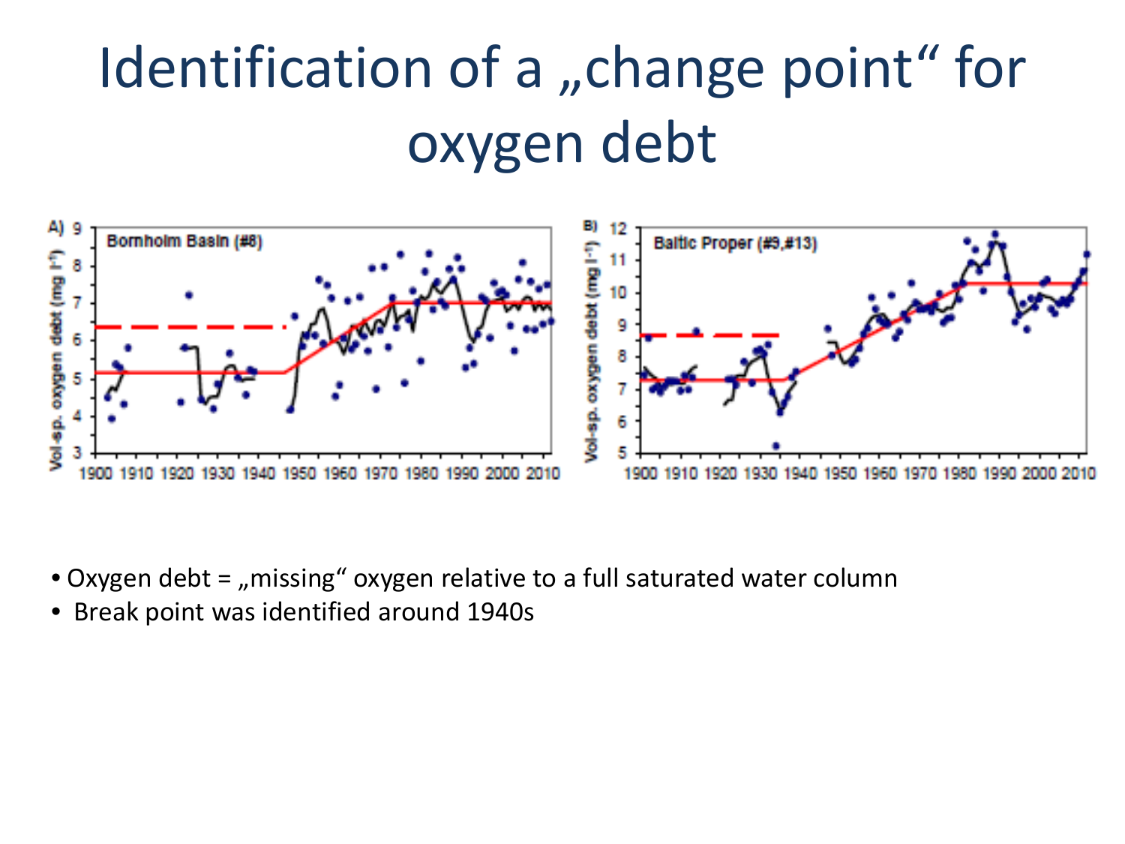### Identification of a "change point" for oxygen debt



- Oxygen debt = "missing" oxygen relative to a full saturated water column
- Break point was identified around 1940s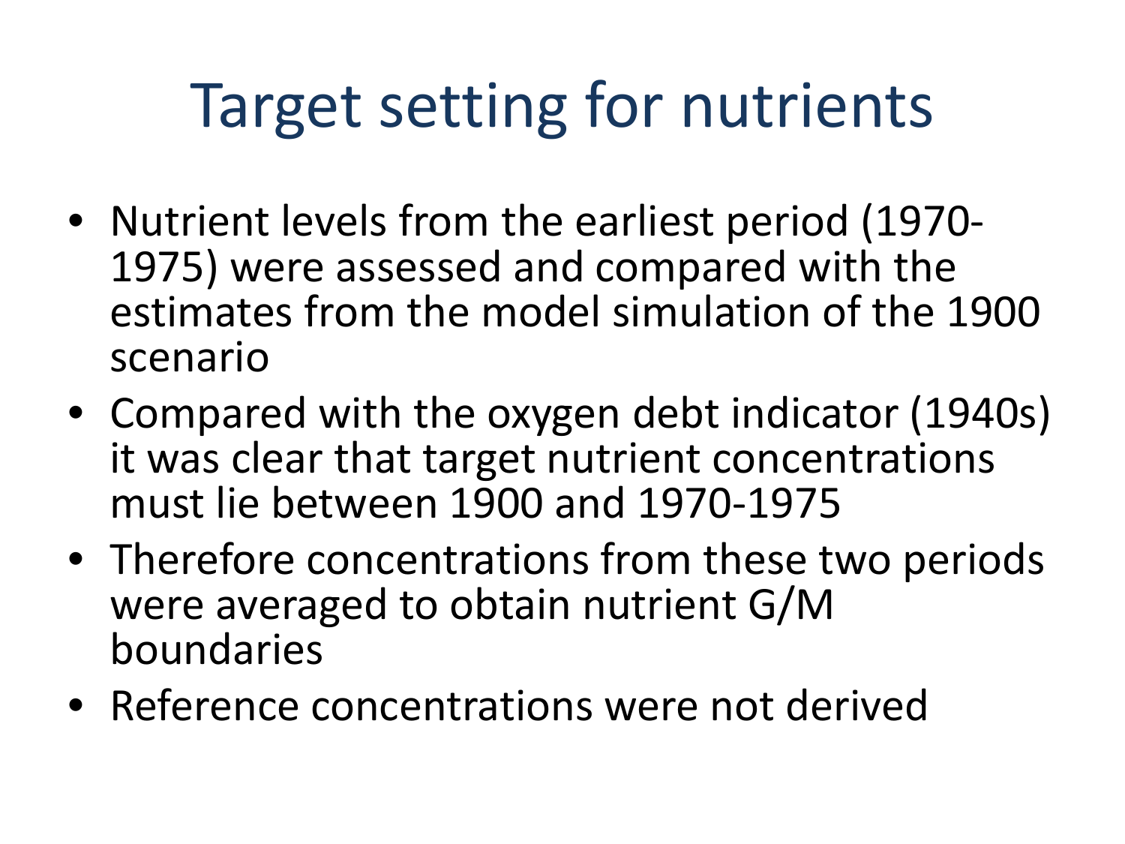# Target setting for nutrients

- Nutrient levels from the earliest period (1970- 1975) were assessed and compared with the estimates from the model simulation of the 1900 scenario
- Compared with the oxygen debt indicator (1940s) it was clear that target nutrient concentrations must lie between 1900 and 1970-1975
- Therefore concentrations from these two periods were averaged to obtain nutrient G/M boundaries
- Reference concentrations were not derived